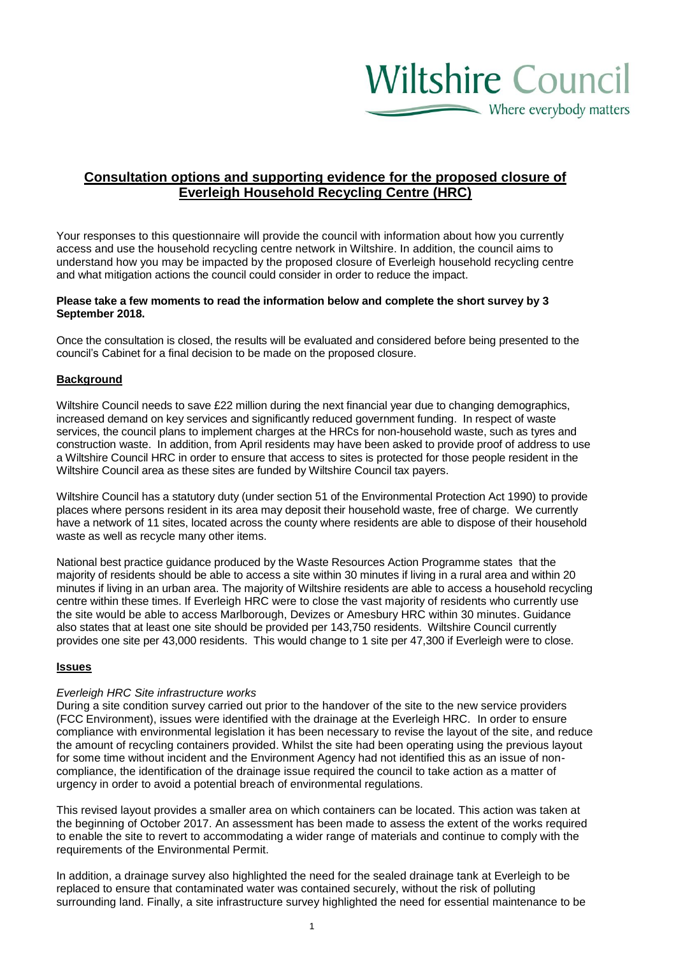# **Wiltshire Council**  $\sum$  Where everybody matters

# **Consultation options and supporting evidence for the proposed closure of Everleigh Household Recycling Centre (HRC)**

Your responses to this questionnaire will provide the council with information about how you currently access and use the household recycling centre network in Wiltshire. In addition, the council aims to understand how you may be impacted by the proposed closure of Everleigh household recycling centre and what mitigation actions the council could consider in order to reduce the impact.

#### **Please take a few moments to read the information below and complete the short survey by 3 September 2018.**

Once the consultation is closed, the results will be evaluated and considered before being presented to the council's Cabinet for a final decision to be made on the proposed closure.

#### **Background**

Wiltshire Council needs to save £22 million during the next financial year due to changing demographics, increased demand on key services and significantly reduced government funding. In respect of waste services, the council plans to implement charges at the HRCs for non-household waste, such as tyres and construction waste. In addition, from April residents may have been asked to provide proof of address to use a Wiltshire Council HRC in order to ensure that access to sites is protected for those people resident in the Wiltshire Council area as these sites are funded by Wiltshire Council tax payers.

Wiltshire Council has a statutory duty (under section 51 of the Environmental Protection Act 1990) to provide places where persons resident in its area may deposit their household waste, free of charge. We currently have a network of 11 sites, located across the county where residents are able to dispose of their household waste as well as recycle many other items.

National best practice guidance produced by the Waste Resources Action Programme states that the majority of residents should be able to access a site within 30 minutes if living in a rural area and within 20 minutes if living in an urban area. The majority of Wiltshire residents are able to access a household recycling centre within these times. If Everleigh HRC were to close the vast majority of residents who currently use the site would be able to access Marlborough, Devizes or Amesbury HRC within 30 minutes. Guidance also states that at least one site should be provided per 143,750 residents. Wiltshire Council currently provides one site per 43,000 residents. This would change to 1 site per 47,300 if Everleigh were to close.

#### **Issues**

#### *Everleigh HRC Site infrastructure works*

During a site condition survey carried out prior to the handover of the site to the new service providers (FCC Environment), issues were identified with the drainage at the Everleigh HRC. In order to ensure compliance with environmental legislation it has been necessary to revise the layout of the site, and reduce the amount of recycling containers provided. Whilst the site had been operating using the previous layout for some time without incident and the Environment Agency had not identified this as an issue of noncompliance, the identification of the drainage issue required the council to take action as a matter of urgency in order to avoid a potential breach of environmental regulations.

This revised layout provides a smaller area on which containers can be located. This action was taken at the beginning of October 2017. An assessment has been made to assess the extent of the works required to enable the site to revert to accommodating a wider range of materials and continue to comply with the requirements of the Environmental Permit.

In addition, a drainage survey also highlighted the need for the sealed drainage tank at Everleigh to be replaced to ensure that contaminated water was contained securely, without the risk of polluting surrounding land. Finally, a site infrastructure survey highlighted the need for essential maintenance to be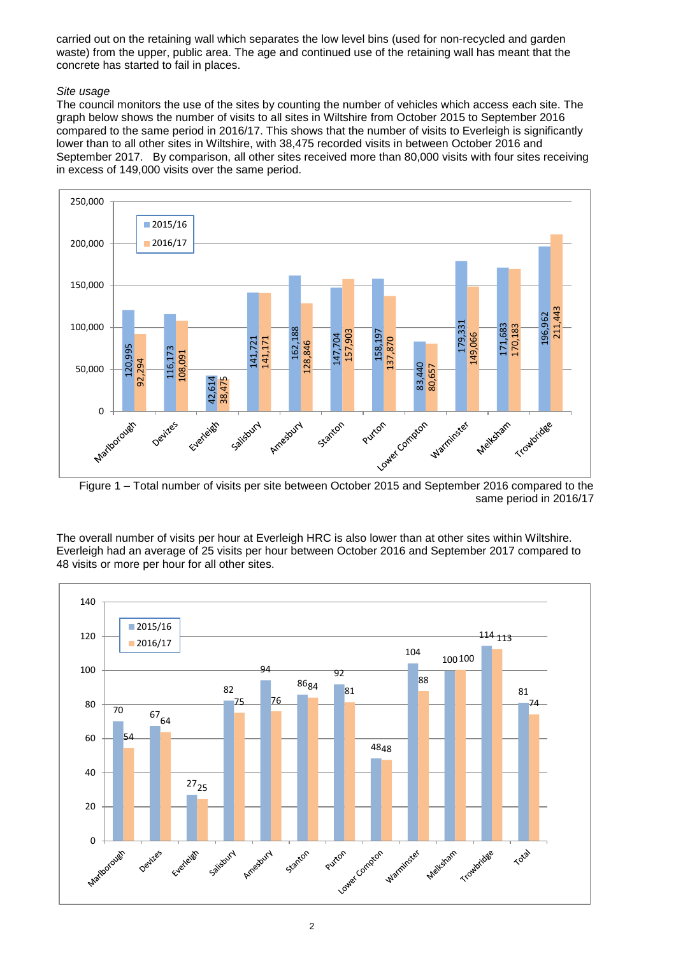carried out on the retaining wall which separates the low level bins (used for non-recycled and garden waste) from the upper, public area. The age and continued use of the retaining wall has meant that the concrete has started to fail in places.

#### *Site usage*

The council monitors the use of the sites by counting the number of vehicles which access each site. The graph below shows the number of visits to all sites in Wiltshire from October 2015 to September 2016 compared to the same period in 2016/17. This shows that the number of visits to Everleigh is significantly lower than to all other sites in Wiltshire, with 38,475 recorded visits in between October 2016 and September 2017. By comparison, all other sites received more than 80,000 visits with four sites receiving in excess of 149,000 visits over the same period.



Figure 1 – Total number of visits per site between October 2015 and September 2016 compared to the same period in 2016/17

The overall number of visits per hour at Everleigh HRC is also lower than at other sites within Wiltshire. Everleigh had an average of 25 visits per hour between October 2016 and September 2017 compared to

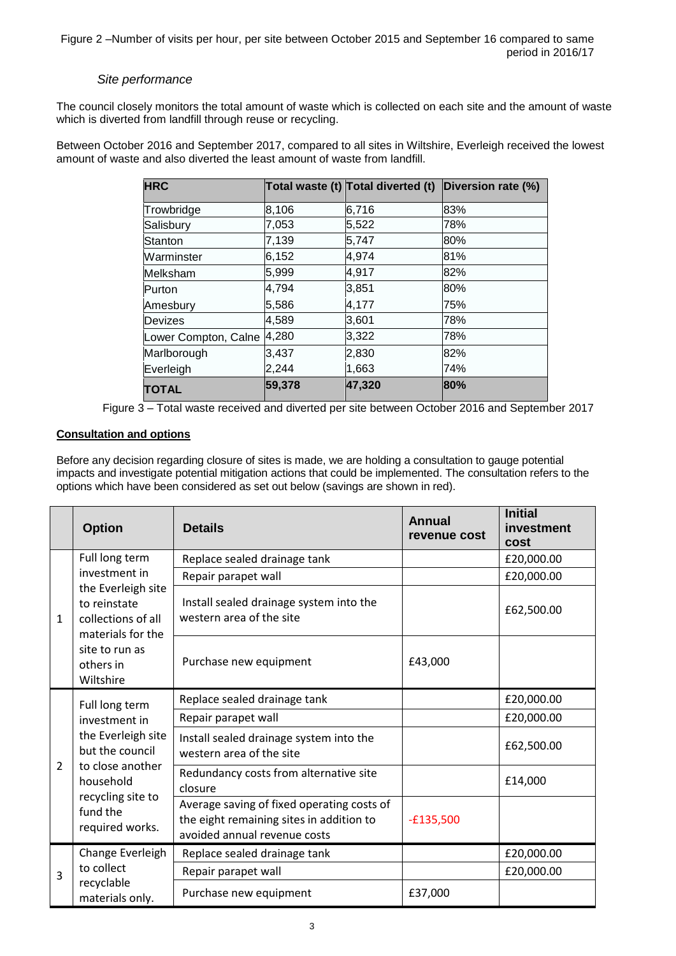## *Site performance*

The council closely monitors the total amount of waste which is collected on each site and the amount of waste which is diverted from landfill through reuse or recycling.

Between October 2016 and September 2017, compared to all sites in Wiltshire, Everleigh received the lowest amount of waste and also diverted the least amount of waste from landfill.

| <b>HRC</b>           |        | Total waste (t) Total diverted (t) | Diversion rate (%) |
|----------------------|--------|------------------------------------|--------------------|
| Trowbridge           | 8,106  | 6,716                              | 83%                |
| Salisbury            | 7,053  | 5,522                              | 78%                |
| Stanton              | 7,139  | 5,747                              | 80%                |
| Warminster           | 6,152  | 4,974                              | 81%                |
| Melksham             | 5,999  | 4,917                              | 82%                |
| lPurton              | 4,794  | 3,851                              | 80%                |
| Amesbury             | 5,586  | 4,177                              | 75%                |
| Devizes              | 4,589  | 3,601                              | 78%                |
| Lower Compton, Calne | 4,280  | 3,322                              | 78%                |
| Marlborough          | 3,437  | 2,830                              | 82%                |
| Everleigh            | 2,244  | 1,663                              | 74%                |
| <b>TOTAL</b>         | 59,378 | 47,320                             | 80%                |



## **Consultation and options**

Before any decision regarding closure of sites is made, we are holding a consultation to gauge potential impacts and investigate potential mitigation actions that could be implemented. The consultation refers to the options which have been considered as set out below (savings are shown in red).

|                | <b>Option</b>                                                                                                                                                 | <b>Details</b>                                                                                                         | <b>Annual</b><br>revenue cost | <b>Initial</b><br>investment<br>cost |
|----------------|---------------------------------------------------------------------------------------------------------------------------------------------------------------|------------------------------------------------------------------------------------------------------------------------|-------------------------------|--------------------------------------|
| $\mathbf{1}$   | Full long term<br>investment in<br>the Everleigh site<br>to reinstate<br>collections of all<br>materials for the<br>site to run as<br>others in<br>Wiltshire  | Replace sealed drainage tank                                                                                           |                               | £20,000.00                           |
|                |                                                                                                                                                               | Repair parapet wall                                                                                                    |                               | £20,000.00                           |
|                |                                                                                                                                                               | Install sealed drainage system into the<br>western area of the site                                                    |                               | £62,500.00                           |
|                |                                                                                                                                                               | Purchase new equipment                                                                                                 | £43,000                       |                                      |
| $\overline{2}$ | Full long term<br>investment in<br>the Everleigh site<br>but the council<br>to close another<br>household<br>recycling site to<br>fund the<br>required works. | Replace sealed drainage tank                                                                                           |                               | £20,000.00                           |
|                |                                                                                                                                                               | Repair parapet wall                                                                                                    |                               | £20,000.00                           |
|                |                                                                                                                                                               | Install sealed drainage system into the<br>western area of the site                                                    |                               | £62,500.00                           |
|                |                                                                                                                                                               | Redundancy costs from alternative site<br>closure                                                                      |                               | £14,000                              |
|                |                                                                                                                                                               | Average saving of fixed operating costs of<br>the eight remaining sites in addition to<br>avoided annual revenue costs | $-£135,500$                   |                                      |
| 3              | Change Everleigh<br>to collect<br>recyclable<br>materials only.                                                                                               | Replace sealed drainage tank                                                                                           |                               | £20,000.00                           |
|                |                                                                                                                                                               | Repair parapet wall                                                                                                    |                               | £20,000.00                           |
|                |                                                                                                                                                               | Purchase new equipment                                                                                                 | £37,000                       |                                      |